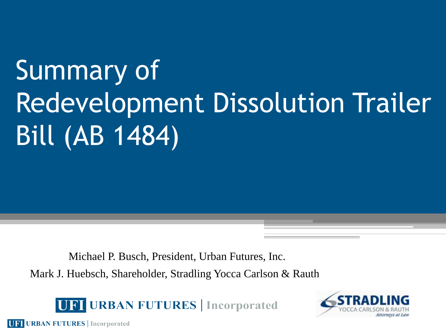# Summary of Redevelopment Dissolution Trailer Bill (AB 1484)

 Michael P. Busch, President, Urban Futures, Inc. Mark J. Huebsch, Shareholder, Stradling Yocca Carlson & Rauth

UPI URBAN FUTURES | Incorporated



**UFI URBAN FUTURES** | Incorporated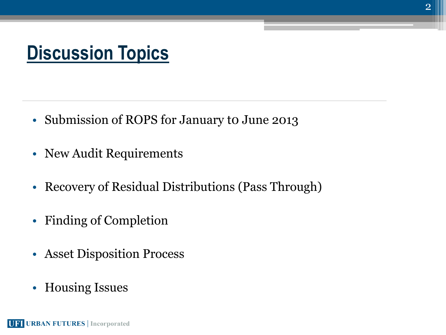### **Discussion Topics**

- Submission of ROPS for January to June 2013
- New Audit Requirements
- Recovery of Residual Distributions (Pass Through)
- Finding of Completion
- Asset Disposition Process
- Housing Issues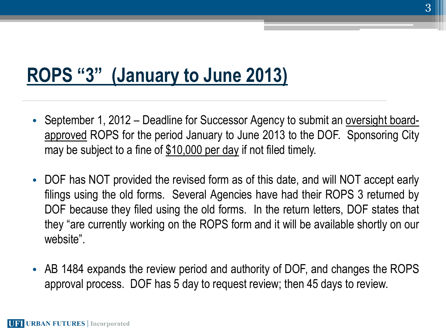#### **ROPS "3" (January to June 2013)**

- September 1, 2012 Deadline for Successor Agency to submit an oversight boardapproved ROPS for the period January to June 2013 to the DOF. Sponsoring City may be subject to a fine of \$10,000 per day if not filed timely.
- DOF has NOT provided the revised form as of this date, and will NOT accept early filings using the old forms. Several Agencies have had their ROPS 3 returned by DOF because they filed using the old forms. In the return letters, DOF states that they "are currently working on the ROPS form and it will be available shortly on our website".
- AB 1484 expands the review period and authority of DOF, and changes the ROPS approval process. DOF has 5 day to request review; then 45 days to review.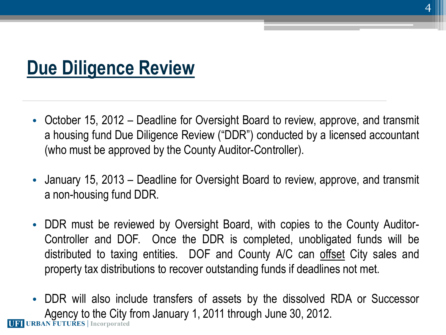#### **Due Diligence Review**

- October 15, 2012 Deadline for Oversight Board to review, approve, and transmit a housing fund Due Diligence Review ("DDR") conducted by a licensed accountant (who must be approved by the County Auditor-Controller).
- January 15, 2013 Deadline for Oversight Board to review, approve, and transmit a non-housing fund DDR.
- DDR must be reviewed by Oversight Board, with copies to the County Auditor-Controller and DOF. Once the DDR is completed, unobligated funds will be distributed to taxing entities. DOF and County A/C can offset City sales and property tax distributions to recover outstanding funds if deadlines not met.
- DDR will also include transfers of assets by the dissolved RDA or Successor Agency to the City from January 1, 2011 through June 30, 2012.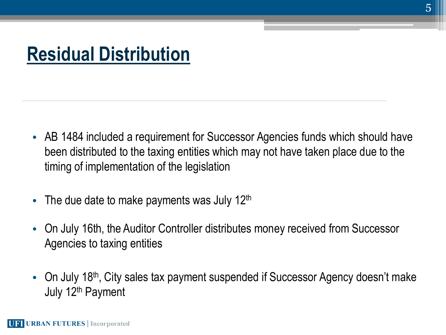#### **Residual Distribution**

- AB 1484 included a requirement for Successor Agencies funds which should have been distributed to the taxing entities which may not have taken place due to the timing of implementation of the legislation
- The due date to make payments was July  $12<sup>th</sup>$
- On July 16th, the Auditor Controller distributes money received from Successor Agencies to taxing entities
- On July 18<sup>th</sup>, City sales tax payment suspended if Successor Agency doesn't make July 12<sup>th</sup> Payment

5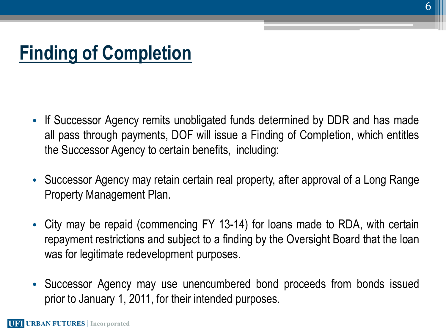## **Finding of Completion**

- If Successor Agency remits unobligated funds determined by DDR and has made all pass through payments, DOF will issue a Finding of Completion, which entitles the Successor Agency to certain benefits, including:
- Successor Agency may retain certain real property, after approval of a Long Range Property Management Plan.
- City may be repaid (commencing FY 13-14) for loans made to RDA, with certain repayment restrictions and subject to a finding by the Oversight Board that the loan was for legitimate redevelopment purposes.
- Successor Agency may use unencumbered bond proceeds from bonds issued prior to January 1, 2011, for their intended purposes.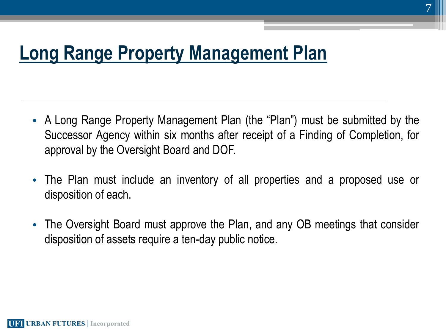#### **Long Range Property Management Plan**

- A Long Range Property Management Plan (the "Plan") must be submitted by the Successor Agency within six months after receipt of a Finding of Completion, for approval by the Oversight Board and DOF.
- The Plan must include an inventory of all properties and a proposed use or disposition of each.
- The Oversight Board must approve the Plan, and any OB meetings that consider disposition of assets require a ten-day public notice.

**UFI URBAN FUTURES** | Incorporated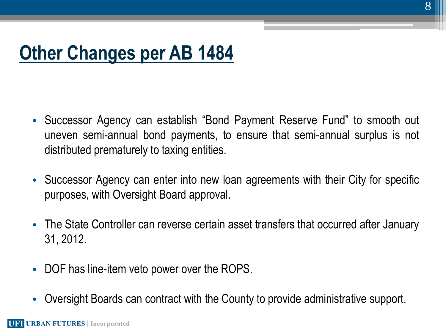### **Other Changes per AB 1484**

- Successor Agency can establish "Bond Payment Reserve Fund" to smooth out uneven semi-annual bond payments, to ensure that semi-annual surplus is not distributed prematurely to taxing entities.
- Successor Agency can enter into new loan agreements with their City for specific purposes, with Oversight Board approval.
- The State Controller can reverse certain asset transfers that occurred after January 31, 2012.
- DOF has line-item veto power over the ROPS.
- Oversight Boards can contract with the County to provide administrative support.